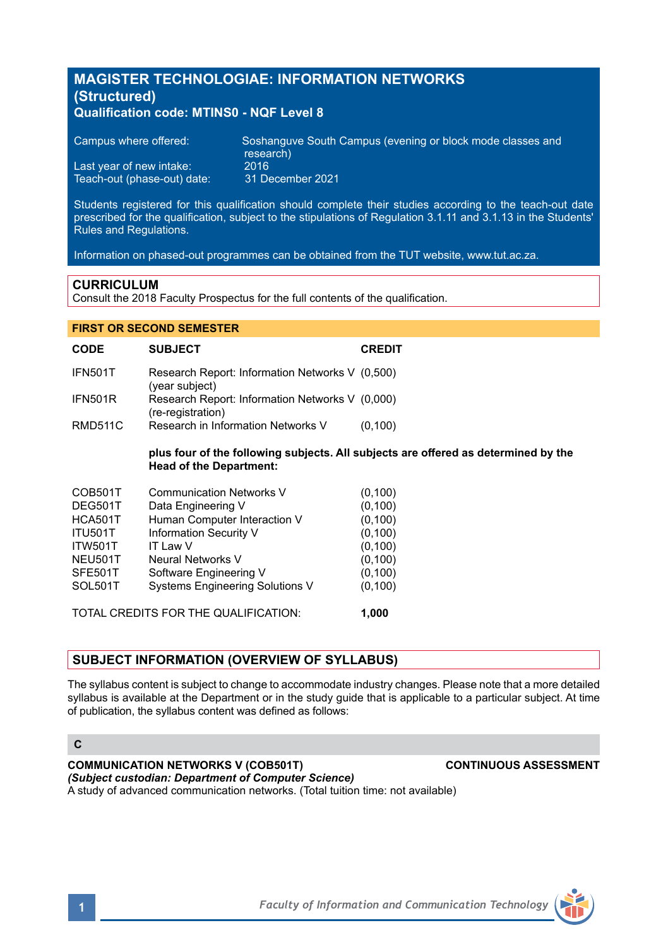# **MAGISTER TECHNOLOGIAE: INFORMATION NETWORKS (Structured) Qualification code: MTINS0 - NQF Level 8**

| Campus where offered:       | Soshanguve South Campus (evening or block mode classes and<br>research) |
|-----------------------------|-------------------------------------------------------------------------|
| Last year of new intake:    | 2016.                                                                   |
| Teach-out (phase-out) date: | 31 December 2021                                                        |

Students registered for this qualification should complete their studies according to the teach-out date prescribed for the qualification, subject to the stipulations of Regulation 3.1.11 and 3.1.13 in the Students' Rules and Regulations.

Information on phased-out programmes can be obtained from the TUT website, www.tut.ac.za.

# **CURRICULUM**

Consult the 2018 Faculty Prospectus for the full contents of the qualification.

| <b>FIRST OR SECOND SEMESTER</b>    |                                                                                                    |
|------------------------------------|----------------------------------------------------------------------------------------------------|
| <b>SUBJECT</b>                     | <b>CREDIT</b>                                                                                      |
| (year subject)                     |                                                                                                    |
| (re-registration)                  |                                                                                                    |
| Research in Information Networks V | (0, 100)                                                                                           |
| <b>Head of the Department:</b>     | plus four of the following subjects. All subjects are offered as determined by the                 |
| <b>Communication Networks V</b>    | (0, 100)                                                                                           |
| Data Engineering V                 | (0, 100)                                                                                           |
| Human Computer Interaction V       | (0, 100)                                                                                           |
| Information Security V             | (0, 100)                                                                                           |
| IT Law V                           | (0, 100)                                                                                           |
| Neural Networks V                  | (0, 100)                                                                                           |
| Software Engineering V             | (0, 100)                                                                                           |
|                                    |                                                                                                    |
|                                    | Research Report: Information Networks V (0,500)<br>Research Report: Information Networks V (0,000) |

TOTAL CREDITS FOR THE QUALIFICATION: **1,000**

**SUBJECT INFORMATION (OVERVIEW OF SYLLABUS)** 

The syllabus content is subject to change to accommodate industry changes. Please note that a more detailed syllabus is available at the Department or in the study guide that is applicable to a particular subject. At time of publication, the syllabus content was defined as follows:

# **C**

**COMMUNICATION NETWORKS V (COB501T) CONTINUOUS ASSESSMENT** *(Subject custodian: Department of Computer Science)* A study of advanced communication networks. (Total tuition time: not available)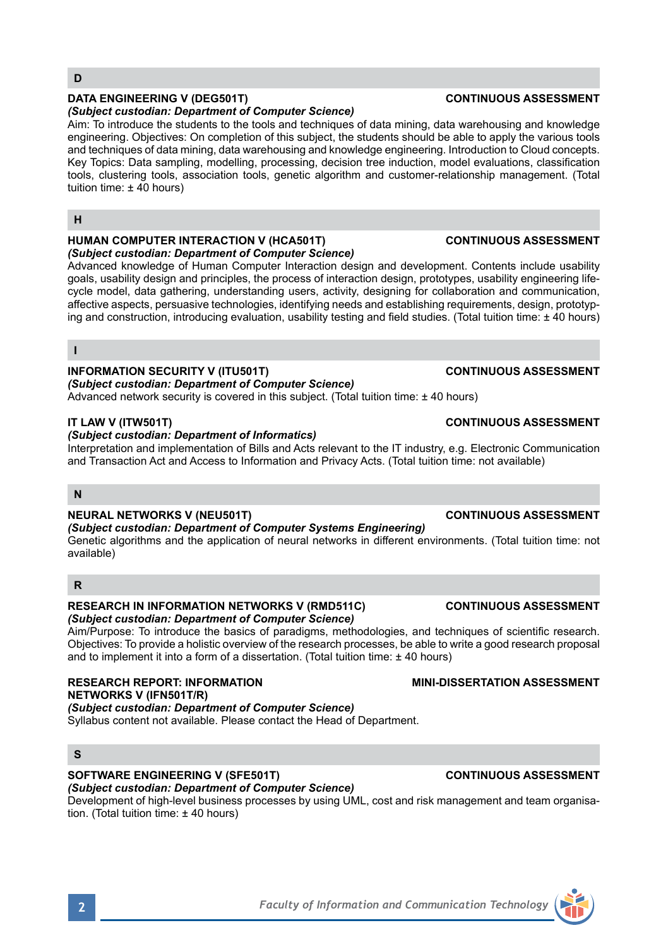# **DATA ENGINEERING V (DEG501T) CONTINUOUS ASSESSMENT**

### *(Subject custodian: Department of Computer Science)*

Aim: To introduce the students to the tools and techniques of data mining, data warehousing and knowledge engineering. Objectives: On completion of this subject, the students should be able to apply the various tools and techniques of data mining, data warehousing and knowledge engineering. Introduction to Cloud concepts. Key Topics: Data sampling, modelling, processing, decision tree induction, model evaluations, classification tools, clustering tools, association tools, genetic algorithm and customer-relationship management. (Total tuition time:  $\pm$  40 hours)

# **H**

### **HUMAN COMPUTER INTERACTION V (HCA501T) CONTINUOUS ASSESSMENT** *(Subject custodian: Department of Computer Science)*

Advanced knowledge of Human Computer Interaction design and development. Contents include usability goals, usability design and principles, the process of interaction design, prototypes, usability engineering lifecycle model, data gathering, understanding users, activity, designing for collaboration and communication, affective aspects, persuasive technologies, identifying needs and establishing requirements, design, prototyping and construction, introducing evaluation, usability testing and field studies. (Total tuition time: ± 40 hours)

### **I**

## **INFORMATION SECURITY V (ITU501T) CONTINUOUS ASSESSMENT**

*(Subject custodian: Department of Computer Science)*

Advanced network security is covered in this subject. (Total tuition time: ± 40 hours)

### **IT LAW V (ITW501T) CONTINUOUS ASSESSMENT**

### *(Subject custodian: Department of Informatics)*

Interpretation and implementation of Bills and Acts relevant to the IT industry, e.g. Electronic Communication and Transaction Act and Access to Information and Privacy Acts. (Total tuition time: not available)

## **N**

## **NEURAL NETWORKS V (NEU501T) CONTINUOUS ASSESSMENT**

*(Subject custodian: Department of Computer Systems Engineering)* Genetic algorithms and the application of neural networks in different environments. (Total tuition time: not available)

## **R**

# **RESEARCH IN INFORMATION NETWORKS V (RMD511C) CONTINUOUS ASSESSMENT**

# *(Subject custodian: Department of Computer Science)*

Aim/Purpose: To introduce the basics of paradigms, methodologies, and techniques of scientific research. Objectives: To provide a holistic overview of the research processes, be able to write a good research proposal and to implement it into a form of a dissertation. (Total tuition time:  $\pm$  40 hours)

**RESEARCH REPORT: INFORMATION MINI-DISSERTATION ASSESSMENT NETWORKS V (IFN501T/R)**

*(Subject custodian: Department of Computer Science)*  Syllabus content not available. Please contact the Head of Department.

# **S**

# **SOFTWARE ENGINEERING V (SFE501T) CONTINUOUS ASSESSMENT**

*(Subject custodian: Department of Computer Science)* Development of high-level business processes by using UML, cost and risk management and team organisation. (Total tuition time: ± 40 hours)